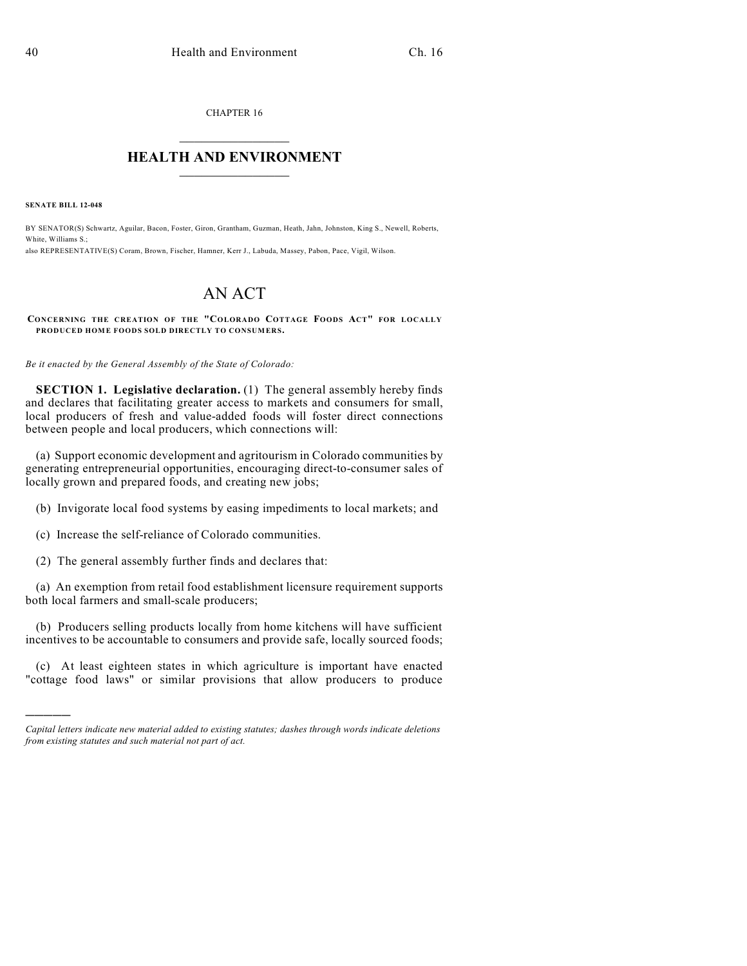CHAPTER 16  $\overline{\phantom{a}}$  . The set of the set of the set of the set of the set of the set of the set of the set of the set of the set of the set of the set of the set of the set of the set of the set of the set of the set of the set o

## **HEALTH AND ENVIRONMENT**  $\_$

**SENATE BILL 12-048**

)))))

BY SENATOR(S) Schwartz, Aguilar, Bacon, Foster, Giron, Grantham, Guzman, Heath, Jahn, Johnston, King S., Newell, Roberts, White, Williams S.; also REPRESENTATIVE(S) Coram, Brown, Fischer, Hamner, Kerr J., Labuda, Massey, Pabon, Pace, Vigil, Wilson.

## AN ACT

**CONCERNING THE CREATION OF THE "COLORADO COTTAGE FOODS ACT" FOR LOCALLY PRODUCED HOME FOODS SOLD DIRECTLY TO CONSUMERS.**

*Be it enacted by the General Assembly of the State of Colorado:*

**SECTION 1. Legislative declaration.** (1) The general assembly hereby finds and declares that facilitating greater access to markets and consumers for small, local producers of fresh and value-added foods will foster direct connections between people and local producers, which connections will:

(a) Support economic development and agritourism in Colorado communities by generating entrepreneurial opportunities, encouraging direct-to-consumer sales of locally grown and prepared foods, and creating new jobs;

- (b) Invigorate local food systems by easing impediments to local markets; and
- (c) Increase the self-reliance of Colorado communities.
- (2) The general assembly further finds and declares that:

(a) An exemption from retail food establishment licensure requirement supports both local farmers and small-scale producers;

(b) Producers selling products locally from home kitchens will have sufficient incentives to be accountable to consumers and provide safe, locally sourced foods;

(c) At least eighteen states in which agriculture is important have enacted "cottage food laws" or similar provisions that allow producers to produce

*Capital letters indicate new material added to existing statutes; dashes through words indicate deletions from existing statutes and such material not part of act.*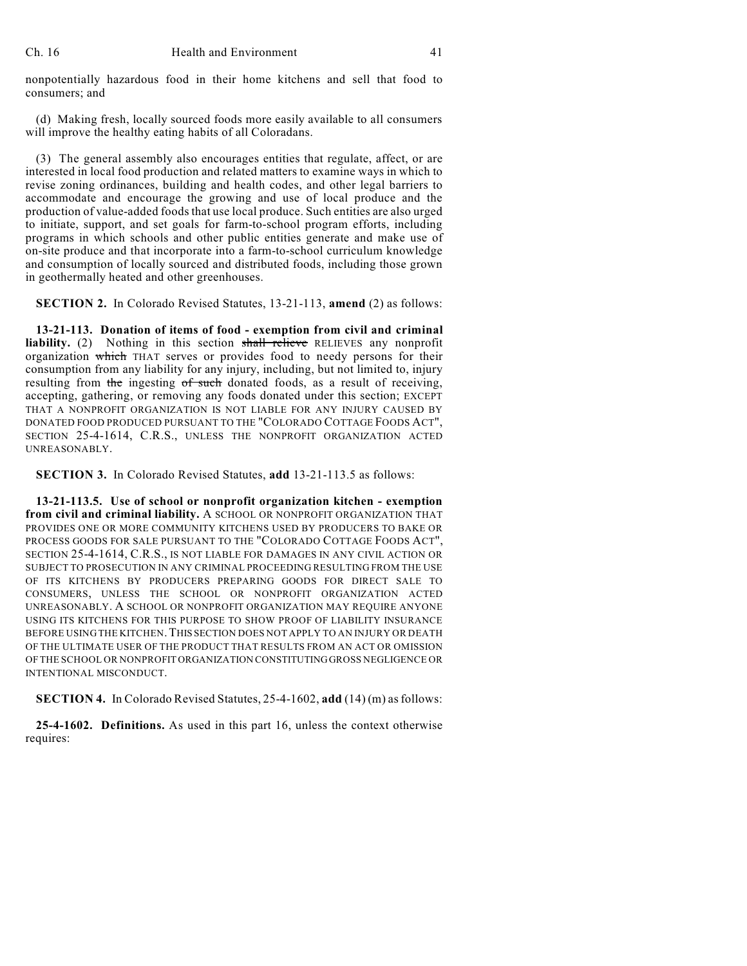nonpotentially hazardous food in their home kitchens and sell that food to consumers; and

(d) Making fresh, locally sourced foods more easily available to all consumers will improve the healthy eating habits of all Coloradans.

(3) The general assembly also encourages entities that regulate, affect, or are interested in local food production and related matters to examine ways in which to revise zoning ordinances, building and health codes, and other legal barriers to accommodate and encourage the growing and use of local produce and the production of value-added foods that use local produce. Such entities are also urged to initiate, support, and set goals for farm-to-school program efforts, including programs in which schools and other public entities generate and make use of on-site produce and that incorporate into a farm-to-school curriculum knowledge and consumption of locally sourced and distributed foods, including those grown in geothermally heated and other greenhouses.

**SECTION 2.** In Colorado Revised Statutes, 13-21-113, **amend** (2) as follows:

**13-21-113. Donation of items of food - exemption from civil and criminal liability.** (2) Nothing in this section shall relieve RELIEVES any nonprofit organization which THAT serves or provides food to needy persons for their consumption from any liability for any injury, including, but not limited to, injury resulting from the ingesting of such donated foods, as a result of receiving, accepting, gathering, or removing any foods donated under this section; EXCEPT THAT A NONPROFIT ORGANIZATION IS NOT LIABLE FOR ANY INJURY CAUSED BY DONATED FOOD PRODUCED PURSUANT TO THE "COLORADO COTTAGE FOODS ACT", SECTION 25-4-1614, C.R.S., UNLESS THE NONPROFIT ORGANIZATION ACTED UNREASONABLY.

**SECTION 3.** In Colorado Revised Statutes, **add** 13-21-113.5 as follows:

**13-21-113.5. Use of school or nonprofit organization kitchen - exemption from civil and criminal liability.** A SCHOOL OR NONPROFIT ORGANIZATION THAT PROVIDES ONE OR MORE COMMUNITY KITCHENS USED BY PRODUCERS TO BAKE OR PROCESS GOODS FOR SALE PURSUANT TO THE "COLORADO COTTAGE FOODS ACT", SECTION 25-4-1614, C.R.S., IS NOT LIABLE FOR DAMAGES IN ANY CIVIL ACTION OR SUBJECT TO PROSECUTION IN ANY CRIMINAL PROCEEDING RESULTING FROM THE USE OF ITS KITCHENS BY PRODUCERS PREPARING GOODS FOR DIRECT SALE TO CONSUMERS, UNLESS THE SCHOOL OR NONPROFIT ORGANIZATION ACTED UNREASONABLY. A SCHOOL OR NONPROFIT ORGANIZATION MAY REQUIRE ANYONE USING ITS KITCHENS FOR THIS PURPOSE TO SHOW PROOF OF LIABILITY INSURANCE BEFORE USING THE KITCHEN. THIS SECTION DOES NOT APPLY TO AN INJURY OR DEATH OF THE ULTIMATE USER OF THE PRODUCT THAT RESULTS FROM AN ACT OR OMISSION OF THE SCHOOL OR NONPROFIT ORGANIZATION CONSTITUTINGGROSS NEGLIGENCE OR INTENTIONAL MISCONDUCT.

**SECTION 4.** In Colorado Revised Statutes, 25-4-1602, add (14) (m) as follows:

**25-4-1602. Definitions.** As used in this part 16, unless the context otherwise requires: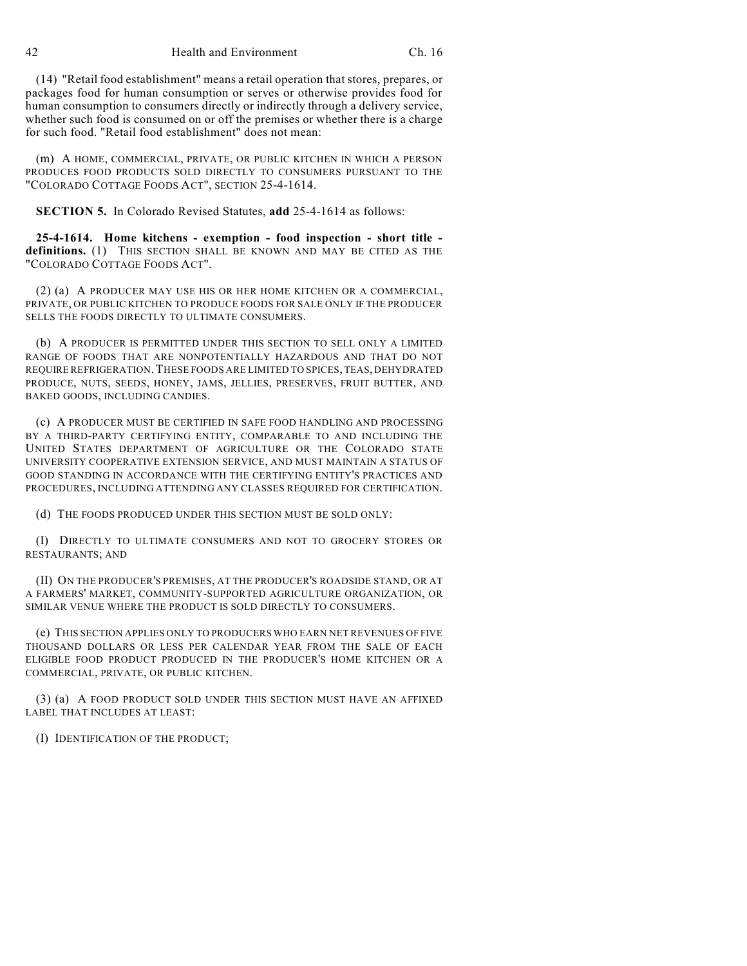(14) "Retail food establishment" means a retail operation that stores, prepares, or packages food for human consumption or serves or otherwise provides food for human consumption to consumers directly or indirectly through a delivery service, whether such food is consumed on or off the premises or whether there is a charge for such food. "Retail food establishment" does not mean:

(m) A HOME, COMMERCIAL, PRIVATE, OR PUBLIC KITCHEN IN WHICH A PERSON PRODUCES FOOD PRODUCTS SOLD DIRECTLY TO CONSUMERS PURSUANT TO THE "COLORADO COTTAGE FOODS ACT", SECTION 25-4-1614.

**SECTION 5.** In Colorado Revised Statutes, **add** 25-4-1614 as follows:

**25-4-1614. Home kitchens - exemption - food inspection - short title definitions.** (1) THIS SECTION SHALL BE KNOWN AND MAY BE CITED AS THE "COLORADO COTTAGE FOODS ACT".

(2) (a) A PRODUCER MAY USE HIS OR HER HOME KITCHEN OR A COMMERCIAL, PRIVATE, OR PUBLIC KITCHEN TO PRODUCE FOODS FOR SALE ONLY IF THE PRODUCER SELLS THE FOODS DIRECTLY TO ULTIMATE CONSUMERS.

(b) A PRODUCER IS PERMITTED UNDER THIS SECTION TO SELL ONLY A LIMITED RANGE OF FOODS THAT ARE NONPOTENTIALLY HAZARDOUS AND THAT DO NOT REQUIRE REFRIGERATION.THESE FOODS ARE LIMITED TO SPICES, TEAS, DEHYDRATED PRODUCE, NUTS, SEEDS, HONEY, JAMS, JELLIES, PRESERVES, FRUIT BUTTER, AND BAKED GOODS, INCLUDING CANDIES.

(c) A PRODUCER MUST BE CERTIFIED IN SAFE FOOD HANDLING AND PROCESSING BY A THIRD-PARTY CERTIFYING ENTITY, COMPARABLE TO AND INCLUDING THE UNITED STATES DEPARTMENT OF AGRICULTURE OR THE COLORADO STATE UNIVERSITY COOPERATIVE EXTENSION SERVICE, AND MUST MAINTAIN A STATUS OF GOOD STANDING IN ACCORDANCE WITH THE CERTIFYING ENTITY'S PRACTICES AND PROCEDURES, INCLUDING ATTENDING ANY CLASSES REQUIRED FOR CERTIFICATION.

(d) THE FOODS PRODUCED UNDER THIS SECTION MUST BE SOLD ONLY:

(I) DIRECTLY TO ULTIMATE CONSUMERS AND NOT TO GROCERY STORES OR RESTAURANTS; AND

(II) ON THE PRODUCER'S PREMISES, AT THE PRODUCER'S ROADSIDE STAND, OR AT A FARMERS' MARKET, COMMUNITY-SUPPORTED AGRICULTURE ORGANIZATION, OR SIMILAR VENUE WHERE THE PRODUCT IS SOLD DIRECTLY TO CONSUMERS.

(e) THIS SECTION APPLIES ONLY TO PRODUCERS WHO EARN NET REVENUES OF FIVE THOUSAND DOLLARS OR LESS PER CALENDAR YEAR FROM THE SALE OF EACH ELIGIBLE FOOD PRODUCT PRODUCED IN THE PRODUCER'S HOME KITCHEN OR A COMMERCIAL, PRIVATE, OR PUBLIC KITCHEN.

(3) (a) A FOOD PRODUCT SOLD UNDER THIS SECTION MUST HAVE AN AFFIXED LABEL THAT INCLUDES AT LEAST:

(I) IDENTIFICATION OF THE PRODUCT;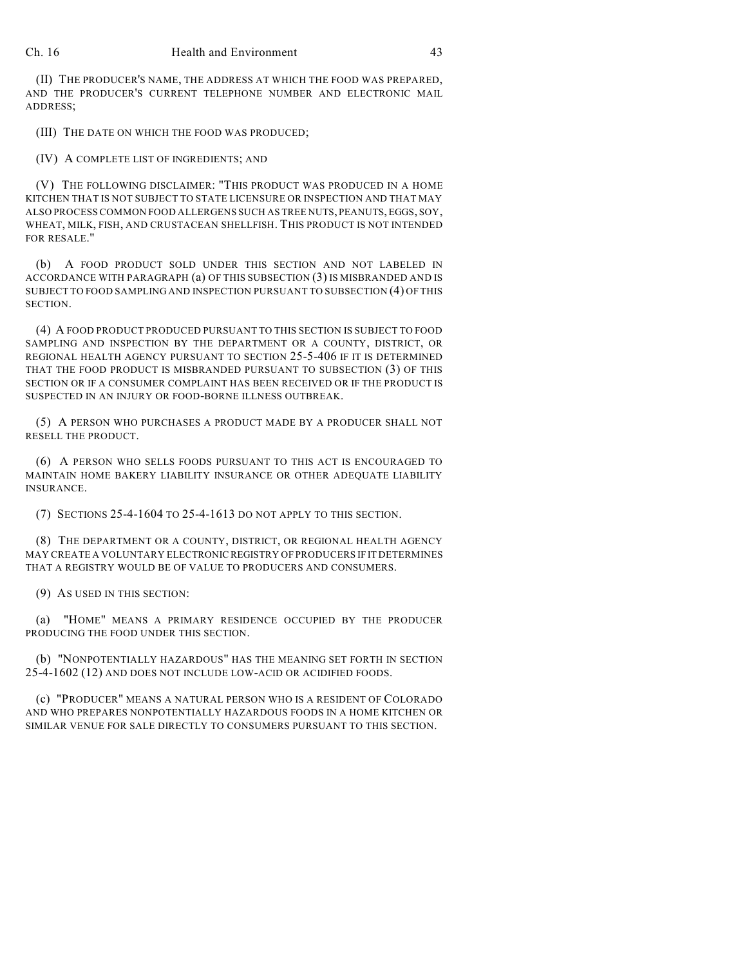(II) THE PRODUCER'S NAME, THE ADDRESS AT WHICH THE FOOD WAS PREPARED, AND THE PRODUCER'S CURRENT TELEPHONE NUMBER AND ELECTRONIC MAIL ADDRESS;

(III) THE DATE ON WHICH THE FOOD WAS PRODUCED;

(IV) A COMPLETE LIST OF INGREDIENTS; AND

(V) THE FOLLOWING DISCLAIMER: "THIS PRODUCT WAS PRODUCED IN A HOME KITCHEN THAT IS NOT SUBJECT TO STATE LICENSURE OR INSPECTION AND THAT MAY ALSO PROCESS COMMON FOOD ALLERGENS SUCH AS TREE NUTS, PEANUTS, EGGS, SOY, WHEAT, MILK, FISH, AND CRUSTACEAN SHELLFISH. THIS PRODUCT IS NOT INTENDED FOR RESALE."

(b) A FOOD PRODUCT SOLD UNDER THIS SECTION AND NOT LABELED IN ACCORDANCE WITH PARAGRAPH (a) OF THIS SUBSECTION (3) IS MISBRANDED AND IS SUBJECT TO FOOD SAMPLING AND INSPECTION PURSUANT TO SUBSECTION (4) OF THIS SECTION.

(4) A FOOD PRODUCT PRODUCED PURSUANT TO THIS SECTION IS SUBJECT TO FOOD SAMPLING AND INSPECTION BY THE DEPARTMENT OR A COUNTY, DISTRICT, OR REGIONAL HEALTH AGENCY PURSUANT TO SECTION 25-5-406 IF IT IS DETERMINED THAT THE FOOD PRODUCT IS MISBRANDED PURSUANT TO SUBSECTION (3) OF THIS SECTION OR IF A CONSUMER COMPLAINT HAS BEEN RECEIVED OR IF THE PRODUCT IS SUSPECTED IN AN INJURY OR FOOD-BORNE ILLNESS OUTBREAK.

(5) A PERSON WHO PURCHASES A PRODUCT MADE BY A PRODUCER SHALL NOT RESELL THE PRODUCT.

(6) A PERSON WHO SELLS FOODS PURSUANT TO THIS ACT IS ENCOURAGED TO MAINTAIN HOME BAKERY LIABILITY INSURANCE OR OTHER ADEQUATE LIABILITY INSURANCE.

(7) SECTIONS 25-4-1604 TO 25-4-1613 DO NOT APPLY TO THIS SECTION.

(8) THE DEPARTMENT OR A COUNTY, DISTRICT, OR REGIONAL HEALTH AGENCY MAY CREATE A VOLUNTARY ELECTRONIC REGISTRY OF PRODUCERS IF IT DETERMINES THAT A REGISTRY WOULD BE OF VALUE TO PRODUCERS AND CONSUMERS.

(9) AS USED IN THIS SECTION:

(a) "HOME" MEANS A PRIMARY RESIDENCE OCCUPIED BY THE PRODUCER PRODUCING THE FOOD UNDER THIS SECTION.

(b) "NONPOTENTIALLY HAZARDOUS" HAS THE MEANING SET FORTH IN SECTION 25-4-1602 (12) AND DOES NOT INCLUDE LOW-ACID OR ACIDIFIED FOODS.

(c) "PRODUCER" MEANS A NATURAL PERSON WHO IS A RESIDENT OF COLORADO AND WHO PREPARES NONPOTENTIALLY HAZARDOUS FOODS IN A HOME KITCHEN OR SIMILAR VENUE FOR SALE DIRECTLY TO CONSUMERS PURSUANT TO THIS SECTION.